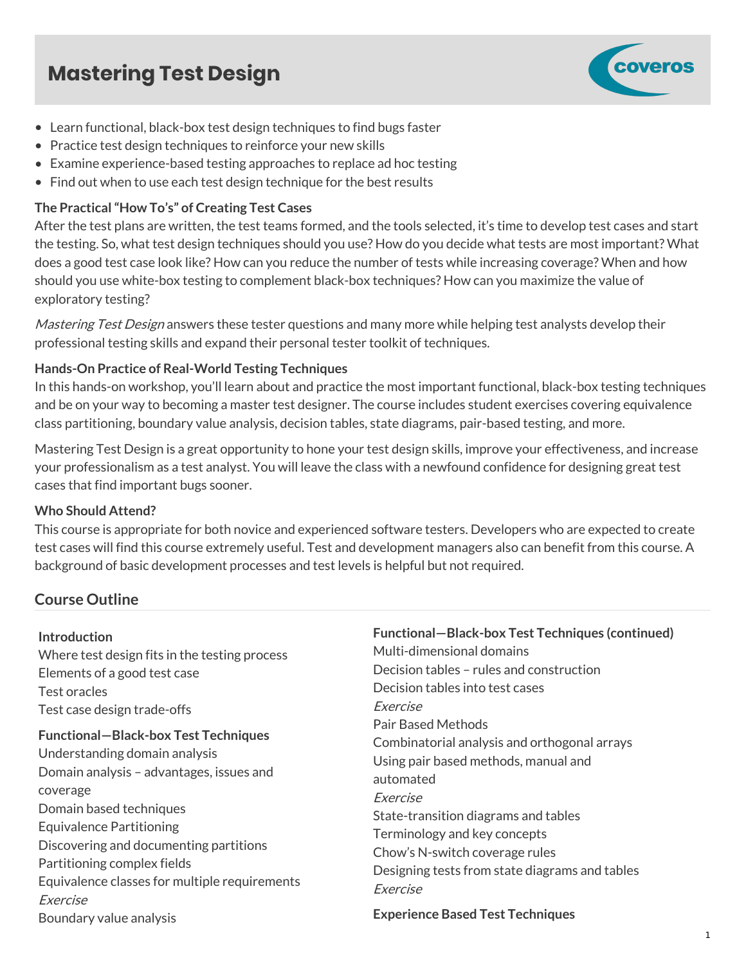# **Mastering Test Design**



- Learn functional, black-box test design techniques to find bugs faster
- Practice test design techniques to reinforce your new skills
- Examine experience-based testing approaches to replace ad hoc testing
- Find out when to use each test design technique for the best results

#### **The Practical "How To's" of Creating Test Cases**

After the test plans are written, the test teams formed, and the tools selected, it's time to develop test cases and start the testing. So, what test design techniques should you use? How do you decide what tests are most important? What does a good test case look like? How can you reduce the number of tests while increasing coverage? When and how should you use white-box testing to complement black-box techniques? How can you maximize the value of exploratory testing?

Mastering Test Design answers these tester questions and many more while helping test analysts develop their professional testing skills and expand their personal tester toolkit of techniques.

### **Hands-On Practice of Real-World Testing Techniques**

In this hands-on workshop, you'll learn about and practice the most important functional, black-box testing techniques and be on your way to becoming a master test designer. The course includes student exercises covering equivalence class partitioning, boundary value analysis, decision tables, state diagrams, pair-based testing, and more.

Mastering Test Design is a great opportunity to hone your test design skills, improve your effectiveness, and increase your professionalism as a test analyst. You will leave the class with a newfound confidence for designing great test cases that find important bugs sooner.

#### **Who Should Attend?**

This course is appropriate for both novice and experienced software testers. Developers who are expected to create test cases will find this course extremely useful. Test and development managers also can benefit from this course. A background of basic development processes and test levels is helpful but not required.

## **Course Outline**

#### **Introduction**

Where test design fits in the testing process Elements of a good test case Test oracles Test case design trade-offs **Functional—Black-box Test Techniques** Understanding domain analysis Domain analysis – advantages, issues and coverage Domain based techniques Equivalence Partitioning Discovering and documenting partitions Partitioning complex fields Equivalence classes for multiple requirements Exercise Boundary value analysis

**Functional—Black-box Test Techniques (continued)** Multi-dimensional domains Decision tables – rules and construction Decision tables into test cases Exercise Pair Based Methods Combinatorial analysis and orthogonal arrays Using pair based methods, manual and automated Exercise State-transition diagrams and tables Terminology and key concepts Chow's N-switch coverage rules Designing tests from state diagrams and tables Exercise **Experience Based Test Techniques**